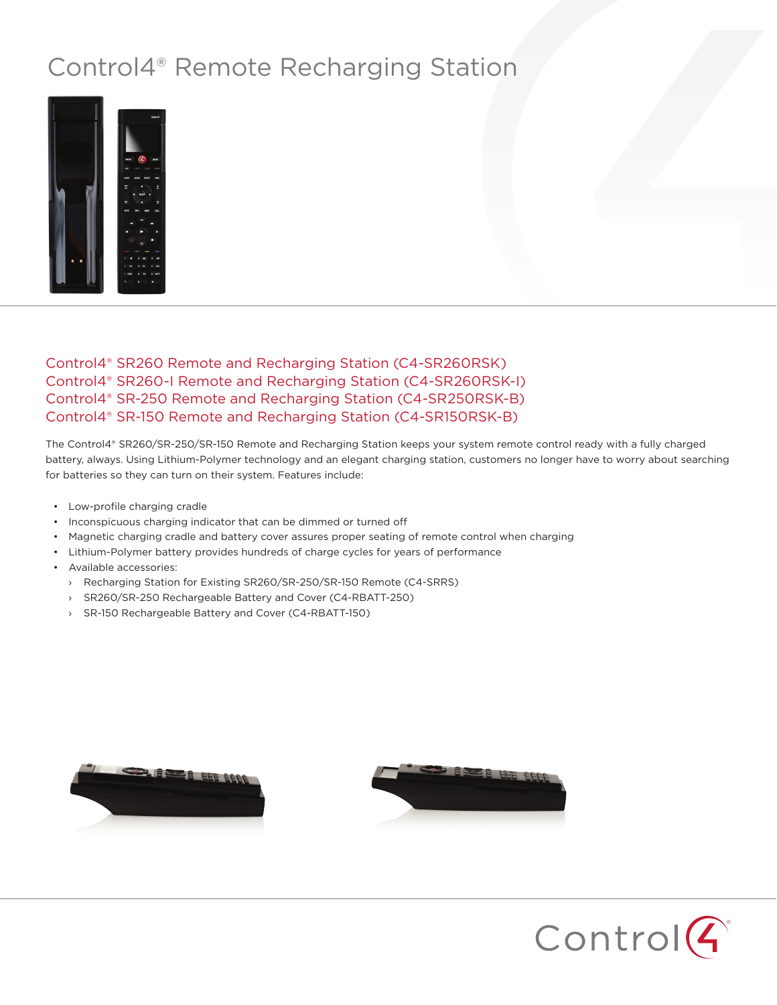## Control4® Remote Recharging Station



## Control4® SR260 Remote and Recharging Station (C4-SR260RSK) Control4® SR260-I Remote and Recharging Station (C4-SR260RSK-I) Control4® SR-250 Remote and Recharging Station (C4-SR250RSK-B) Control4® SR-150 Remote and Recharging Station (C4-SR150RSK-B)

The Control4® SR260/SR-250/SR-150 Remote and Recharging Station keeps your system remote control ready with a fully charged battery, always. Using Lithium-Polymer technology and an elegant charging station, customers no longer have to worry about searching for batteries so they can turn on their system. Features include:

- Low-profile charging cradle
- Inconspicuous charging indicator that can be dimmed or turned off
- Magnetic charging cradle and battery cover assures proper seating of remote control when charging
- Lithium-Polymer battery provides hundreds of charge cycles for years of performance
- Available accessories:
	- › Recharging Station for Existing SR260/SR-250/SR-150 Remote (C4-SRRS)
	- › SR260/SR-250 Rechargeable Battery and Cover (C4-RBATT-250)
	- › SR-150 Rechargeable Battery and Cover (C4-RBATT-150)